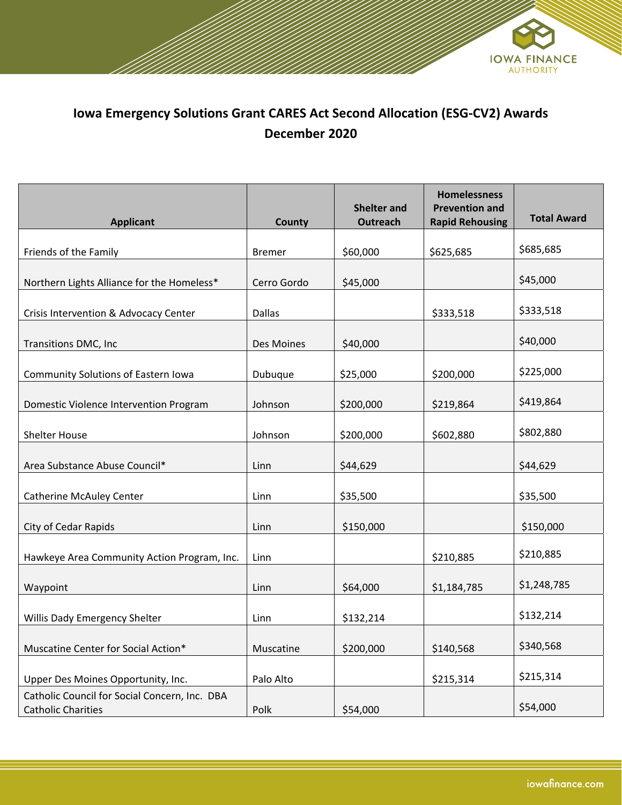

## **Iowa Emergency Solutions Grant CARES Act Second Allocation (ESG‐CV2) Awards December 2020**

| <b>Applicant</b>                                                           | County        | <b>Shelter and</b><br><b>Outreach</b> | <b>Homelessness</b><br><b>Prevention and</b><br><b>Rapid Rehousing</b> | <b>Total Award</b> |
|----------------------------------------------------------------------------|---------------|---------------------------------------|------------------------------------------------------------------------|--------------------|
| Friends of the Family                                                      | <b>Bremer</b> | \$60,000                              | \$625,685                                                              | \$685,685          |
| Northern Lights Alliance for the Homeless*                                 | Cerro Gordo   | \$45,000                              |                                                                        | \$45,000           |
| Crisis Intervention & Advocacy Center                                      | Dallas        |                                       | \$333,518                                                              | \$333,518          |
| Transitions DMC, Inc                                                       | Des Moines    | \$40,000                              |                                                                        | \$40,000           |
| <b>Community Solutions of Eastern Iowa</b>                                 | Dubuque       | \$25,000                              | \$200,000                                                              | \$225,000          |
| Domestic Violence Intervention Program                                     | Johnson       | \$200,000                             | \$219,864                                                              | \$419,864          |
| <b>Shelter House</b>                                                       | Johnson       | \$200,000                             | \$602,880                                                              | \$802,880          |
| Area Substance Abuse Council*                                              | Linn          | \$44,629                              |                                                                        | \$44,629           |
| <b>Catherine McAuley Center</b>                                            | Linn          | \$35,500                              |                                                                        | \$35,500           |
| City of Cedar Rapids                                                       | Linn          | \$150,000                             |                                                                        | \$150,000          |
| Hawkeye Area Community Action Program, Inc.                                | Linn          |                                       | \$210,885                                                              | \$210,885          |
| Waypoint                                                                   | Linn          | \$64,000                              | \$1,184,785                                                            | \$1,248,785        |
| Willis Dady Emergency Shelter                                              | Linn          | \$132,214                             |                                                                        | \$132,214          |
| Muscatine Center for Social Action*                                        | Muscatine     | \$200,000                             | \$140,568                                                              | \$340,568          |
| Upper Des Moines Opportunity, Inc.                                         | Palo Alto     |                                       | \$215,314                                                              | \$215,314          |
| Catholic Council for Social Concern, Inc. DBA<br><b>Catholic Charities</b> | Polk          | \$54,000                              |                                                                        | \$54,000           |